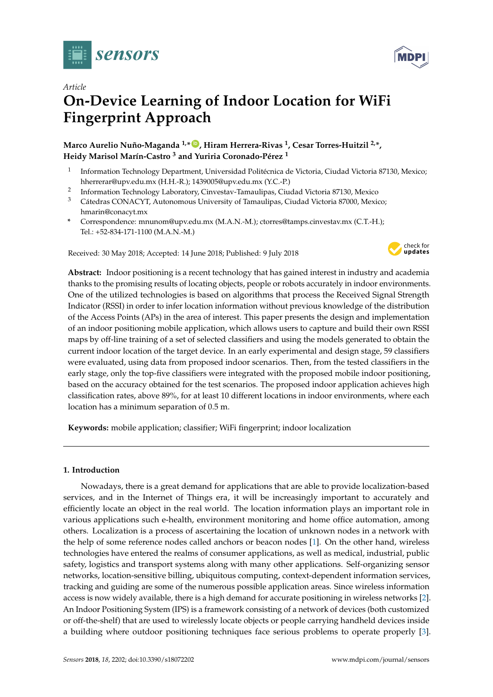



# *Article* **On-Device Learning of Indoor Location for WiFi Fingerprint Approach**

**Marco Aurelio Nuño-Maganda 1,\* [ID](https://orcid.org/0000-0003-0102-8227) , Hiram Herrera-Rivas <sup>1</sup> , Cesar Torres-Huitzil 2,\*, Heidy Marisol Marín-Castro <sup>3</sup> and Yuriria Coronado-Pérez <sup>1</sup>**

- 1 Information Technology Department, Universidad Politécnica de Victoria, Ciudad Victoria 87130, Mexico; hherrerar@upv.edu.mx (H.H.-R.); 1439005@upv.edu.mx (Y.C.-P.)
- 2 Information Technology Laboratory, Cinvestav-Tamaulipas, Ciudad Victoria 87130, Mexico
- <sup>3</sup> Cátedras CONACYT, Autonomous University of Tamaulipas, Ciudad Victoria 87000, Mexico; hmarin@conacyt.mx
- **\*** Correspondence: mnunom@upv.edu.mx (M.A.N.-M.); ctorres@tamps.cinvestav.mx (C.T.-H.); Tel.: +52-834-171-1100 (M.A.N.-M.)

Received: 30 May 2018; Accepted: 14 June 2018; Published: 9 July 2018



**Abstract:** Indoor positioning is a recent technology that has gained interest in industry and academia thanks to the promising results of locating objects, people or robots accurately in indoor environments. One of the utilized technologies is based on algorithms that process the Received Signal Strength Indicator (RSSI) in order to infer location information without previous knowledge of the distribution of the Access Points (APs) in the area of interest. This paper presents the design and implementation of an indoor positioning mobile application, which allows users to capture and build their own RSSI maps by off-line training of a set of selected classifiers and using the models generated to obtain the current indoor location of the target device. In an early experimental and design stage, 59 classifiers were evaluated, using data from proposed indoor scenarios. Then, from the tested classifiers in the early stage, only the top-five classifiers were integrated with the proposed mobile indoor positioning, based on the accuracy obtained for the test scenarios. The proposed indoor application achieves high classification rates, above 89%, for at least 10 different locations in indoor environments, where each location has a minimum separation of 0.5 m.

**Keywords:** mobile application; classifier; WiFi fingerprint; indoor localization

## **1. Introduction**

Nowadays, there is a great demand for applications that are able to provide localization-based services, and in the Internet of Things era, it will be increasingly important to accurately and efficiently locate an object in the real world. The location information plays an important role in various applications such e-health, environment monitoring and home office automation, among others. Localization is a process of ascertaining the location of unknown nodes in a network with the help of some reference nodes called anchors or beacon nodes [\[1\]](#page-11-0). On the other hand, wireless technologies have entered the realms of consumer applications, as well as medical, industrial, public safety, logistics and transport systems along with many other applications. Self-organizing sensor networks, location-sensitive billing, ubiquitous computing, context-dependent information services, tracking and guiding are some of the numerous possible application areas. Since wireless information access is now widely available, there is a high demand for accurate positioning in wireless networks [\[2\]](#page-11-1). An Indoor Positioning System (IPS) is a framework consisting of a network of devices (both customized or off-the-shelf) that are used to wirelessly locate objects or people carrying handheld devices inside a building where outdoor positioning techniques face serious problems to operate properly [\[3\]](#page-11-2).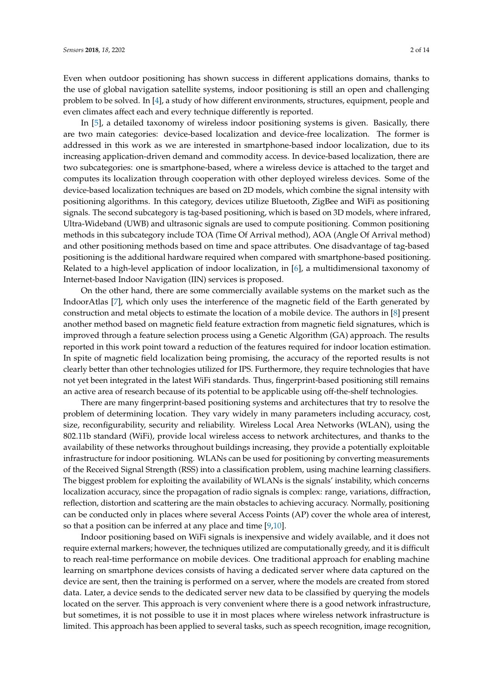Even when outdoor positioning has shown success in different applications domains, thanks to the use of global navigation satellite systems, indoor positioning is still an open and challenging problem to be solved. In [\[4\]](#page-11-3), a study of how different environments, structures, equipment, people and even climates affect each and every technique differently is reported.

In [\[5\]](#page-11-4), a detailed taxonomy of wireless indoor positioning systems is given. Basically, there are two main categories: device-based localization and device-free localization. The former is addressed in this work as we are interested in smartphone-based indoor localization, due to its increasing application-driven demand and commodity access. In device-based localization, there are two subcategories: one is smartphone-based, where a wireless device is attached to the target and computes its localization through cooperation with other deployed wireless devices. Some of the device-based localization techniques are based on 2D models, which combine the signal intensity with positioning algorithms. In this category, devices utilize Bluetooth, ZigBee and WiFi as positioning signals. The second subcategory is tag-based positioning, which is based on 3D models, where infrared, Ultra-Wideband (UWB) and ultrasonic signals are used to compute positioning. Common positioning methods in this subcategory include TOA (Time Of Arrival method), AOA (Angle Of Arrival method) and other positioning methods based on time and space attributes. One disadvantage of tag-based positioning is the additional hardware required when compared with smartphone-based positioning. Related to a high-level application of indoor localization, in [\[6\]](#page-11-5), a multidimensional taxonomy of Internet-based Indoor Navigation (IIN) services is proposed.

On the other hand, there are some commercially available systems on the market such as the IndoorAtlas [\[7\]](#page-11-6), which only uses the interference of the magnetic field of the Earth generated by construction and metal objects to estimate the location of a mobile device. The authors in [\[8\]](#page-11-7) present another method based on magnetic field feature extraction from magnetic field signatures, which is improved through a feature selection process using a Genetic Algorithm (GA) approach. The results reported in this work point toward a reduction of the features required for indoor location estimation. In spite of magnetic field localization being promising, the accuracy of the reported results is not clearly better than other technologies utilized for IPS. Furthermore, they require technologies that have not yet been integrated in the latest WiFi standards. Thus, fingerprint-based positioning still remains an active area of research because of its potential to be applicable using off-the-shelf technologies.

There are many fingerprint-based positioning systems and architectures that try to resolve the problem of determining location. They vary widely in many parameters including accuracy, cost, size, reconfigurability, security and reliability. Wireless Local Area Networks (WLAN), using the 802.11b standard (WiFi), provide local wireless access to network architectures, and thanks to the availability of these networks throughout buildings increasing, they provide a potentially exploitable infrastructure for indoor positioning. WLANs can be used for positioning by converting measurements of the Received Signal Strength (RSS) into a classification problem, using machine learning classifiers. The biggest problem for exploiting the availability of WLANs is the signals' instability, which concerns localization accuracy, since the propagation of radio signals is complex: range, variations, diffraction, reflection, distortion and scattering are the main obstacles to achieving accuracy. Normally, positioning can be conducted only in places where several Access Points (AP) cover the whole area of interest, so that a position can be inferred at any place and time [\[9,](#page-11-8)[10\]](#page-11-9).

Indoor positioning based on WiFi signals is inexpensive and widely available, and it does not require external markers; however, the techniques utilized are computationally greedy, and it is difficult to reach real-time performance on mobile devices. One traditional approach for enabling machine learning on smartphone devices consists of having a dedicated server where data captured on the device are sent, then the training is performed on a server, where the models are created from stored data. Later, a device sends to the dedicated server new data to be classified by querying the models located on the server. This approach is very convenient where there is a good network infrastructure, but sometimes, it is not possible to use it in most places where wireless network infrastructure is limited. This approach has been applied to several tasks, such as speech recognition, image recognition,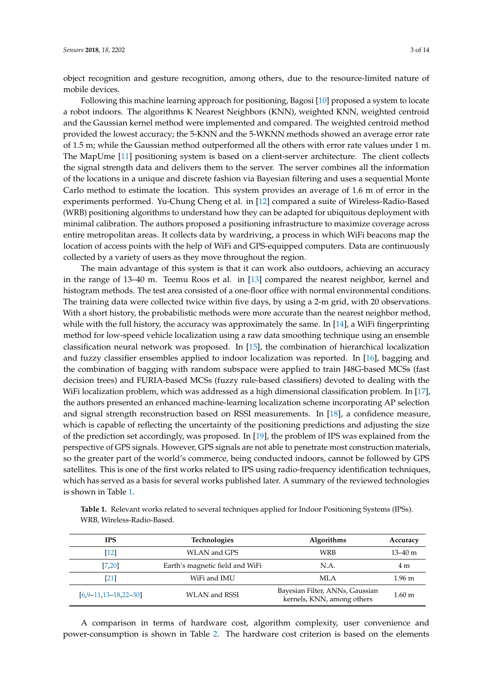object recognition and gesture recognition, among others, due to the resource-limited nature of mobile devices.

Following this machine learning approach for positioning, Bagosi [\[10\]](#page-11-9) proposed a system to locate a robot indoors. The algorithms K Nearest Neighbors (KNN), weighted KNN, weighted centroid and the Gaussian kernel method were implemented and compared. The weighted centroid method provided the lowest accuracy; the 5-KNN and the 5-WKNN methods showed an average error rate of 1.5 m; while the Gaussian method outperformed all the others with error rate values under 1 m. The MapUme [\[11\]](#page-12-0) positioning system is based on a client-server architecture. The client collects the signal strength data and delivers them to the server. The server combines all the information of the locations in a unique and discrete fashion via Bayesian filtering and uses a sequential Monte Carlo method to estimate the location. This system provides an average of 1.6 m of error in the experiments performed. Yu-Chung Cheng et al. in [\[12\]](#page-12-1) compared a suite of Wireless-Radio-Based (WRB) positioning algorithms to understand how they can be adapted for ubiquitous deployment with minimal calibration. The authors proposed a positioning infrastructure to maximize coverage across entire metropolitan areas. It collects data by wardriving, a process in which WiFi beacons map the location of access points with the help of WiFi and GPS-equipped computers. Data are continuously collected by a variety of users as they move throughout the region.

The main advantage of this system is that it can work also outdoors, achieving an accuracy in the range of 13–40 m. Teemu Roos et al. in [\[13\]](#page-12-2) compared the nearest neighbor, kernel and histogram methods. The test area consisted of a one-floor office with normal environmental conditions. The training data were collected twice within five days, by using a 2-m grid, with 20 observations. With a short history, the probabilistic methods were more accurate than the nearest neighbor method, while with the full history, the accuracy was approximately the same. In [\[14\]](#page-12-3), a WiFi fingerprinting method for low-speed vehicle localization using a raw data smoothing technique using an ensemble classification neural network was proposed. In [\[15\]](#page-12-4), the combination of hierarchical localization and fuzzy classifier ensembles applied to indoor localization was reported. In [\[16\]](#page-12-5), bagging and the combination of bagging with random subspace were applied to train J48G-based MCSs (fast decision trees) and FURIA-based MCSs (fuzzy rule-based classifiers) devoted to dealing with the WiFi localization problem, which was addressed as a high dimensional classification problem. In [\[17\]](#page-12-6), the authors presented an enhanced machine-learning localization scheme incorporating AP selection and signal strength reconstruction based on RSSI measurements. In [\[18\]](#page-12-7), a confidence measure, which is capable of reflecting the uncertainty of the positioning predictions and adjusting the size of the prediction set accordingly, was proposed. In [\[19\]](#page-12-8), the problem of IPS was explained from the perspective of GPS signals. However, GPS signals are not able to penetrate most construction materials, so the greater part of the world's commerce, being conducted indoors, cannot be followed by GPS satellites. This is one of the first works related to IPS using radio-frequency identification techniques, which has served as a basis for several works published later. A summary of the reviewed technologies is shown in Table [1.](#page-2-0)

| <b>IPS</b>                   | <b>Technologies</b>             | <b>Algorithms</b>                                             | Accuracy         |
|------------------------------|---------------------------------|---------------------------------------------------------------|------------------|
| [12]                         | WLAN and GPS                    | WRB                                                           | $13 - 40$ m      |
| [7, 20]                      | Earth's magnetic field and WiFi | N.A.                                                          | 4 m              |
| [21]                         | WiFi and IMU                    | MLA                                                           | $1.96 \text{ m}$ |
| $[6.9 - 11.13 - 18.22 - 30]$ | <b>WLAN</b> and RSSI            | Bayesian Filter, ANNs, Gaussian<br>kernels, KNN, among others | $1.60 \text{ m}$ |

<span id="page-2-0"></span>**Table 1.** Relevant works related to several techniques applied for Indoor Positioning Systems (IPSs). WRB, Wireless-Radio-Based.

A comparison in terms of hardware cost, algorithm complexity, user convenience and power-consumption is shown in Table [2.](#page-3-0) The hardware cost criterion is based on the elements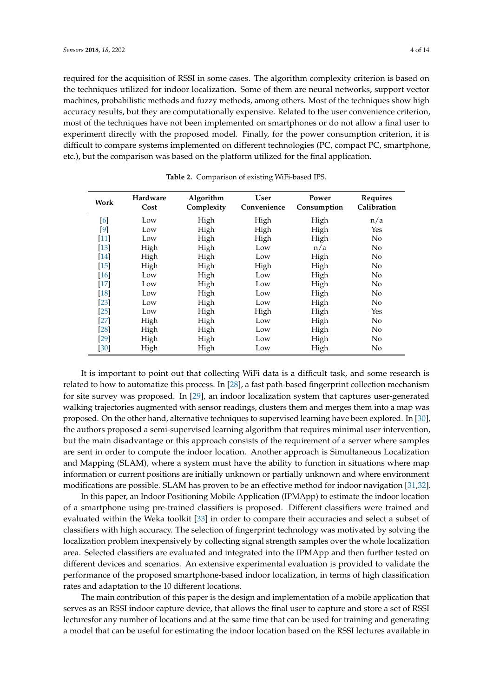required for the acquisition of RSSI in some cases. The algorithm complexity criterion is based on the techniques utilized for indoor localization. Some of them are neural networks, support vector machines, probabilistic methods and fuzzy methods, among others. Most of the techniques show high accuracy results, but they are computationally expensive. Related to the user convenience criterion, most of the techniques have not been implemented on smartphones or do not allow a final user to experiment directly with the proposed model. Finally, for the power consumption criterion, it is difficult to compare systems implemented on different technologies (PC, compact PC, smartphone, etc.), but the comparison was based on the platform utilized for the final application.

<span id="page-3-0"></span>

| Work               | Hardware<br>Cost | Algorithm<br>Complexity | <b>User</b><br>Convenience | Power<br>Consumption | <b>Requires</b><br>Calibration |
|--------------------|------------------|-------------------------|----------------------------|----------------------|--------------------------------|
| [6]                | Low              | High                    | High                       | High                 | n/a                            |
| $[9]$              | Low              | High                    | High                       | High                 | Yes                            |
| $[11]$             | Low              | High                    | High                       | High                 | N <sub>o</sub>                 |
| $\lceil 13 \rceil$ | High             | High                    | Low                        | n/a                  | N <sub>o</sub>                 |
| $[14]$             | High             | High                    | Low                        | High                 | N <sub>o</sub>                 |
| $[15]$             | High             | High                    | High                       | High                 | N <sub>o</sub>                 |
| [16]               | Low              | High                    | Low                        | High                 | N <sub>o</sub>                 |
| $[17]$             | Low              | High                    | Low                        | High                 | N <sub>o</sub>                 |
| $[18]$             | Low              | High                    | Low                        | High                 | N <sub>o</sub>                 |
| $[23]$             | Low              | High                    | Low                        | High                 | N <sub>o</sub>                 |
| $[25]$             | Low              | High                    | High                       | High                 | Yes                            |
| $[27]$             | High             | High                    | Low                        | High                 | N <sub>o</sub>                 |
| [28]               | High             | High                    | Low                        | High                 | N <sub>o</sub>                 |
| [29]               | High             | High                    | Low                        | High                 | N <sub>o</sub>                 |
| [30]               | High             | High                    | Low                        | High                 | N <sub>o</sub>                 |

|  |  | <b>Table 2.</b> Comparison of existing WiFi-based IPS. |  |  |  |
|--|--|--------------------------------------------------------|--|--|--|
|--|--|--------------------------------------------------------|--|--|--|

It is important to point out that collecting WiFi data is a difficult task, and some research is related to how to automatize this process. In [\[28\]](#page-12-15), a fast path-based fingerprint collection mechanism for site survey was proposed. In [\[29\]](#page-12-16), an indoor localization system that captures user-generated walking trajectories augmented with sensor readings, clusters them and merges them into a map was proposed. On the other hand, alternative techniques to supervised learning have been explored. In [\[30\]](#page-13-0), the authors proposed a semi-supervised learning algorithm that requires minimal user intervention, but the main disadvantage or this approach consists of the requirement of a server where samples are sent in order to compute the indoor location. Another approach is Simultaneous Localization and Mapping (SLAM), where a system must have the ability to function in situations where map information or current positions are initially unknown or partially unknown and where environment modifications are possible. SLAM has proven to be an effective method for indoor navigation [\[31,](#page-13-1)[32\]](#page-13-2).

In this paper, an Indoor Positioning Mobile Application (IPMApp) to estimate the indoor location of a smartphone using pre-trained classifiers is proposed. Different classifiers were trained and evaluated within the Weka toolkit [\[33\]](#page-13-3) in order to compare their accuracies and select a subset of classifiers with high accuracy. The selection of fingerprint technology was motivated by solving the localization problem inexpensively by collecting signal strength samples over the whole localization area. Selected classifiers are evaluated and integrated into the IPMApp and then further tested on different devices and scenarios. An extensive experimental evaluation is provided to validate the performance of the proposed smartphone-based indoor localization, in terms of high classification rates and adaptation to the 10 different locations.

The main contribution of this paper is the design and implementation of a mobile application that serves as an RSSI indoor capture device, that allows the final user to capture and store a set of RSSI lecturesfor any number of locations and at the same time that can be used for training and generating a model that can be useful for estimating the indoor location based on the RSSI lectures available in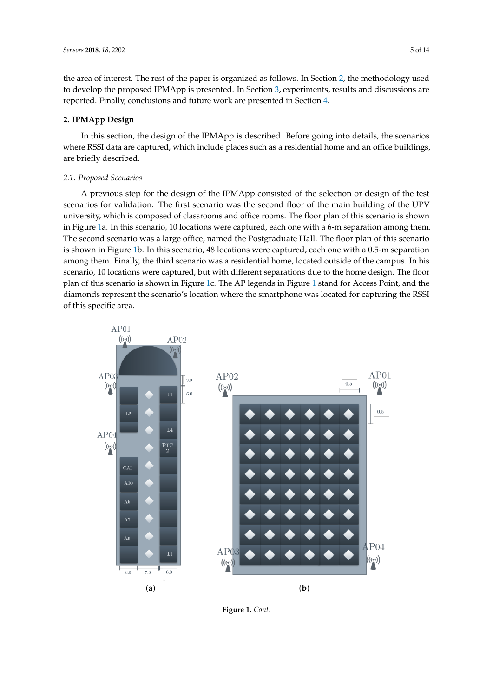the area of interest. The rest of the paper is organized as follows. In Section [2,](#page-4-0) the methodology used to develop the proposed IPMApp is presented. In Section [3,](#page-6-0) experiments, results and discussions are reported. Finally, conclusions and future work are presented in Section [4.](#page-11-10)

### <span id="page-4-0"></span>**2. IPMApp Design**

In this section, the design of the IPMApp is described. Before going into details, the scenarios where RSSI data are captured, which include places such as a residential home and an office buildings, are briefly described.

### *2.1. Proposed Scenarios*

A previous step for the design of the IPMApp consisted of the selection or design of the test scenarios for validation. The first scenario was the second floor of the main building of the UPV university, which is composed of classrooms and office rooms. The floor plan of this scenario is shown in Figure [1a](#page-5-0). In this scenario, 10 locations were captured, each one with a 6-m separation among them. The second scenario was a large office, named the Postgraduate Hall. The floor plan of this scenario is shown in Figure [1b](#page-5-0). In this scenario, 48 locations were captured, each one with a 0.5-m separation among them. Finally, the third scenario was a residential home, located outside of the campus. In his scenario, 10 locations were captured, but with different separations due to the home design. The floor plan of this scenario is shown in Figure [1c](#page-5-0). The AP legends in Figure [1](#page-5-0) stand for Access Point, and the diamonds represent the scenario's location where the smartphone was located for capturing the RSSI of this specific area.



**Figure 1.** *Cont*.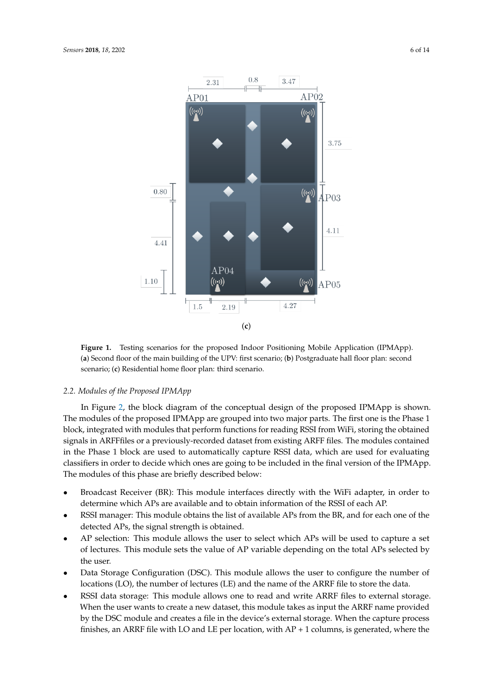<span id="page-5-0"></span>

**Figure 1.** Testing scenarios for the proposed Indoor Positioning Mobile Application (IPMApp). (**a**) Second floor of the main building of the UPV: first scenario; (**b**) Postgraduate hall floor plan: second scenario; (**c**) Residential home floor plan: third scenario.

## *2.2. Modules of the Proposed IPMApp*

In Figure [2,](#page-6-1) the block diagram of the conceptual design of the proposed IPMApp is shown. The modules of the proposed IPMApp are grouped into two major parts. The first one is the Phase 1 block, integrated with modules that perform functions for reading RSSI from WiFi, storing the obtained signals in ARFFfiles or a previously-recorded dataset from existing ARFF files. The modules contained in the Phase 1 block are used to automatically capture RSSI data, which are used for evaluating classifiers in order to decide which ones are going to be included in the final version of the IPMApp. The modules of this phase are briefly described below:

- Broadcast Receiver (BR): This module interfaces directly with the WiFi adapter, in order to determine which APs are available and to obtain information of the RSSI of each AP.
- RSSI manager: This module obtains the list of available APs from the BR, and for each one of the detected APs, the signal strength is obtained.
- AP selection: This module allows the user to select which APs will be used to capture a set of lectures. This module sets the value of AP variable depending on the total APs selected by the user.
- Data Storage Configuration (DSC). This module allows the user to configure the number of locations (LO), the number of lectures (LE) and the name of the ARRF file to store the data.
- RSSI data storage: This module allows one to read and write ARRF files to external storage. When the user wants to create a new dataset, this module takes as input the ARRF name provided by the DSC module and creates a file in the device's external storage. When the capture process finishes, an ARRF file with LO and LE per location, with AP + 1 columns, is generated, where the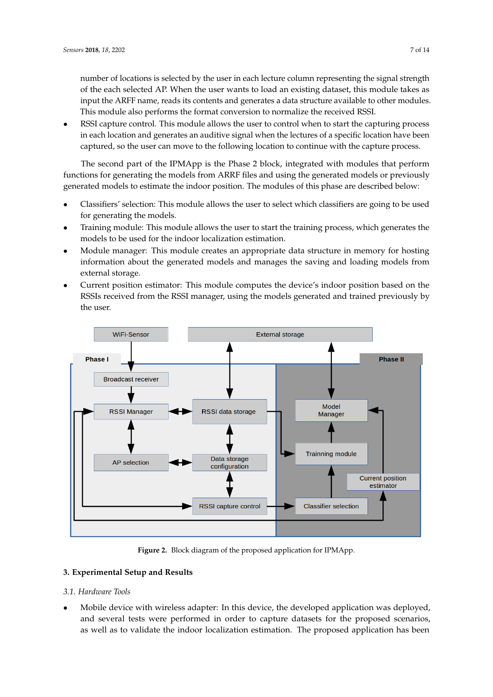number of locations is selected by the user in each lecture column representing the signal strength of the each selected AP. When the user wants to load an existing dataset, this module takes as input the ARFF name, reads its contents and generates a data structure available to other modules. This module also performs the format conversion to normalize the received RSSI.

RSSI capture control. This module allows the user to control when to start the capturing process in each location and generates an auditive signal when the lectures of a specific location have been captured, so the user can move to the following location to continue with the capture process.

The second part of the IPMApp is the Phase 2 block, integrated with modules that perform functions for generating the models from ARRF files and using the generated models or previously generated models to estimate the indoor position. The modules of this phase are described below:

- Classifiers' selection: This module allows the user to select which classifiers are going to be used for generating the models.
- Training module: This module allows the user to start the training process, which generates the models to be used for the indoor localization estimation.
- Module manager: This module creates an appropriate data structure in memory for hosting information about the generated models and manages the saving and loading models from external storage.
- Current position estimator: This module computes the device's indoor position based on the RSSIs received from the RSSI manager, using the models generated and trained previously by the user.

<span id="page-6-1"></span>

**Figure 2.** Block diagram of the proposed application for IPMApp.

## <span id="page-6-0"></span>**3. Experimental Setup and Results**

## *3.1. Hardware Tools*

• Mobile device with wireless adapter: In this device, the developed application was deployed, and several tests were performed in order to capture datasets for the proposed scenarios, as well as to validate the indoor localization estimation. The proposed application has been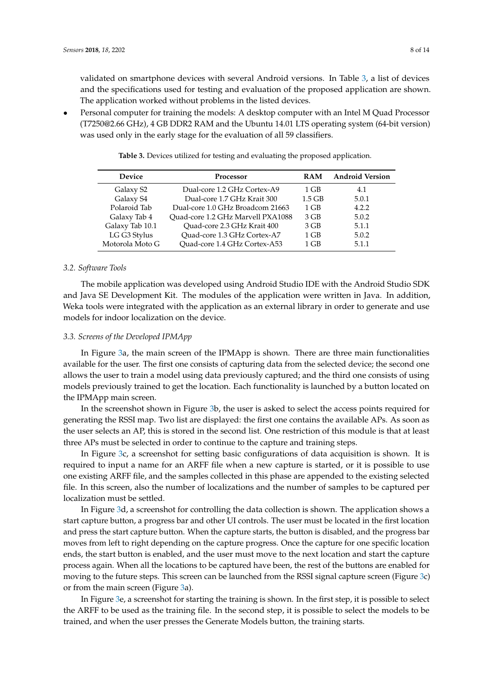validated on smartphone devices with several Android versions. In Table [3,](#page-7-0) a list of devices and the specifications used for testing and evaluation of the proposed application are shown. The application worked without problems in the listed devices.

<span id="page-7-0"></span>• Personal computer for training the models: A desktop computer with an Intel M Quad Processor (T7250@2.66 GHz), 4 GB DDR2 RAM and the Ubuntu 14.01 LTS operating system (64-bit version) was used only in the early stage for the evaluation of all 59 classifiers.

| <b>Device</b>   | <b>Processor</b>                  |          | <b>Android Version</b> |
|-----------------|-----------------------------------|----------|------------------------|
| Galaxy S2       | Dual-core 1.2 GHz Cortex-A9       | 1 GB     | 4.1                    |
| Galaxy S4       | Dual-core 1.7 GHz Krait 300       | $1.5$ GB | 5.0.1                  |
| Polaroid Tab    | Dual-core 1.0 GHz Broadcom 21663  | $1$ GB   | 4.2.2                  |
| Galaxy Tab 4    | Ouad-core 1.2 GHz Marvell PXA1088 | 3 GB     | 5.0.2                  |
| Galaxy Tab 10.1 | Quad-core 2.3 GHz Krait 400       | 3 GB     | 5.1.1                  |
| LG G3 Stylus    | Ouad-core 1.3 GHz Cortex-A7       | 1 GB     | 5.0.2                  |
| Motorola Moto G | Ouad-core 1.4 GHz Cortex-A53      | 1 GB     | 5.1.1                  |

**Table 3.** Devices utilized for testing and evaluating the proposed application.

#### *3.2. Software Tools*

The mobile application was developed using Android Studio IDE with the Android Studio SDK and Java SE Development Kit. The modules of the application were written in Java. In addition, Weka tools were integrated with the application as an external library in order to generate and use models for indoor localization on the device.

## *3.3. Screens of the Developed IPMApp*

In Figure [3a](#page-8-0), the main screen of the IPMApp is shown. There are three main functionalities available for the user. The first one consists of capturing data from the selected device; the second one allows the user to train a model using data previously captured; and the third one consists of using models previously trained to get the location. Each functionality is launched by a button located on the IPMApp main screen.

In the screenshot shown in Figure [3b](#page-8-0), the user is asked to select the access points required for generating the RSSI map. Two list are displayed: the first one contains the available APs. As soon as the user selects an AP, this is stored in the second list. One restriction of this module is that at least three APs must be selected in order to continue to the capture and training steps.

In Figure [3c](#page-8-0), a screenshot for setting basic configurations of data acquisition is shown. It is required to input a name for an ARFF file when a new capture is started, or it is possible to use one existing ARFF file, and the samples collected in this phase are appended to the existing selected file. In this screen, also the number of localizations and the number of samples to be captured per localization must be settled.

In Figure [3d](#page-8-0), a screenshot for controlling the data collection is shown. The application shows a start capture button, a progress bar and other UI controls. The user must be located in the first location and press the start capture button. When the capture starts, the button is disabled, and the progress bar moves from left to right depending on the capture progress. Once the capture for one specific location ends, the start button is enabled, and the user must move to the next location and start the capture process again. When all the locations to be captured have been, the rest of the buttons are enabled for moving to the future steps. This screen can be launched from the RSSI signal capture screen (Figure [3c](#page-8-0)) or from the main screen (Figure [3a](#page-8-0)).

In Figure [3e](#page-8-0), a screenshot for starting the training is shown. In the first step, it is possible to select the ARFF to be used as the training file. In the second step, it is possible to select the models to be trained, and when the user presses the Generate Models button, the training starts.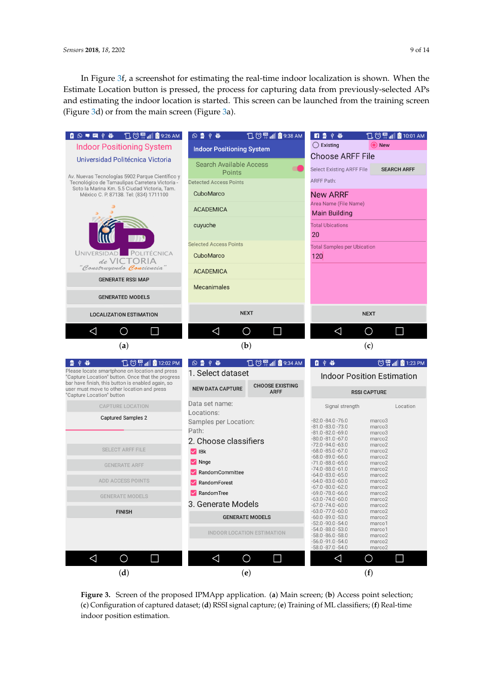In Figure [3f](#page-8-0), a screenshot for estimating the real-time indoor localization is shown. When the Estimate Location button is pressed, the process for capturing data from previously-selected APs and estimating the indoor location is started. This screen can be launched from the training screen (Figure [3d](#page-8-0)) or from the main screen (Figure [3a](#page-8-0)).

<span id="page-8-0"></span>

**Figure 3.** Screen of the proposed IPMApp application. (**a**) Main screen; (**b**) Access point selection; (**c**) Configuration of captured dataset; (**d**) RSSI signal capture; (**e**) Training of ML classifiers; (**f**) Real-time indoor position estimation.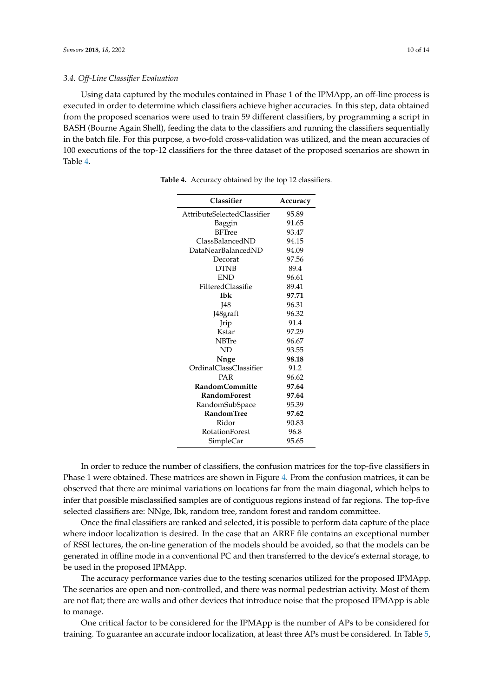<span id="page-9-0"></span>Using data captured by the modules contained in Phase 1 of the IPMApp, an off-line process is executed in order to determine which classifiers achieve higher accuracies. In this step, data obtained from the proposed scenarios were used to train 59 different classifiers, by programming a script in BASH (Bourne Again Shell), feeding the data to the classifiers and running the classifiers sequentially in the batch file. For this purpose, a two-fold cross-validation was utilized, and the mean accuracies of 100 executions of the top-12 classifiers for the three dataset of the proposed scenarios are shown in Table [4.](#page-9-0)

| Classifier                  | Accuracy |
|-----------------------------|----------|
| AttributeSelectedClassifier | 95.89    |
| Baggin                      | 91.65    |
| <b>BFTree</b>               | 93.47    |
| ClassBalancedND             | 94.15    |
| DataNearBalancedND          | 94.09    |
| Decorat                     | 97.56    |
| <b>DTNB</b>                 | 89.4     |
| <b>END</b>                  | 96.61    |
| FilteredClassifie           | 89.41    |
| Ibk                         | 97.71    |
| <b>I48</b>                  | 96.31    |
| J48graft                    | 96.32    |
| Jrip                        | 91.4     |
| Kstar                       | 97.29    |
| <b>NBTre</b>                | 96.67    |
| ND                          | 93.55    |
| Nnge                        | 98.18    |
| OrdinalClassClassifier      | 91.2     |
| PAR                         | 96.62    |
| <b>RandomCommitte</b>       | 97.64    |
| <b>RandomForest</b>         | 97.64    |
| RandomSubSpace              | 95.39    |
| <b>RandomTree</b>           | 97.62    |
| Ridor                       | 90.83    |
| <b>RotationForest</b>       | 96.8     |
| <b>SimpleCar</b>            | 95.65    |

**Table 4.** Accuracy obtained by the top 12 classifiers.

In order to reduce the number of classifiers, the confusion matrices for the top-five classifiers in Phase 1 were obtained. These matrices are shown in Figure [4.](#page-10-0) From the confusion matrices, it can be observed that there are minimal variations on locations far from the main diagonal, which helps to infer that possible misclassified samples are of contiguous regions instead of far regions. The top-five selected classifiers are: NNge, Ibk, random tree, random forest and random committee.

Once the final classifiers are ranked and selected, it is possible to perform data capture of the place where indoor localization is desired. In the case that an ARRF file contains an exceptional number of RSSI lectures, the on-line generation of the models should be avoided, so that the models can be generated in offline mode in a conventional PC and then transferred to the device's external storage, to be used in the proposed IPMApp.

The accuracy performance varies due to the testing scenarios utilized for the proposed IPMApp. The scenarios are open and non-controlled, and there was normal pedestrian activity. Most of them are not flat; there are walls and other devices that introduce noise that the proposed IPMApp is able to manage.

One critical factor to be considered for the IPMApp is the number of APs to be considered for training. To guarantee an accurate indoor localization, at least three APs must be considered. In Table [5,](#page-11-11)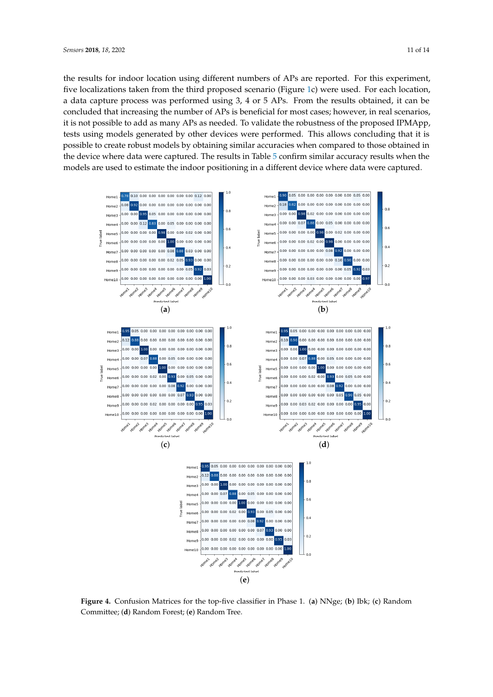the results for indoor location using different numbers of APs are reported. For this experiment, five localizations taken from the third proposed scenario (Figure [1c](#page-5-0)) were used. For each location, a data capture process was performed using 3, 4 or 5 APs. From the results obtained, it can be concluded that increasing the number of APs is beneficial for most cases; however, in real scenarios, it is not possible to add as many APs as needed. To validate the robustness of the proposed IPMApp, tests using models generated by other devices were performed. This allows concluding that it is possible to create robust models by obtaining similar accuracies when compared to those obtained in the device where data were captured. The results in Table [5](#page-11-11) confirm similar accuracy results when the models are used to estimate the indoor positioning in a different device where data were captured.

<span id="page-10-0"></span>

**Figure 4.** Confusion Matrices for the top-five classifier in Phase 1. (**a**) NNge; (**b**) Ibk; (**c**) Random Committee; (**d**) Random Forest; (**e**) Random Tree.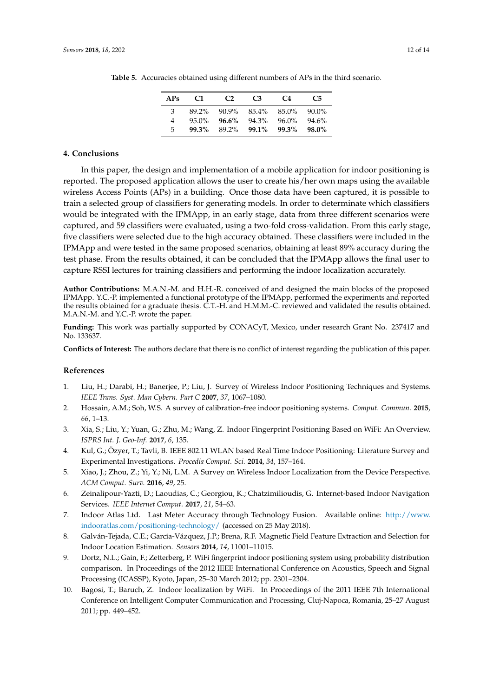| APs           | C <sub>1</sub> | C2                         | C <sub>3</sub> | C <sub>4</sub> | C5     |
|---------------|----------------|----------------------------|----------------|----------------|--------|
| $\mathcal{R}$ | 89.2%          | $90.9\%$ $85.4\%$ $85.0\%$ |                |                | -90.0% |
| 4             | $95.0\%$       | $96.6\%$                   | 94.3%          | 96.0%          | 94.6%  |
| 5.            | 99.3%          | 89.2%                      | 99.1%          | 99.3%          | 98.0%  |

<span id="page-11-11"></span>**Table 5.** Accuracies obtained using different numbers of APs in the third scenario.

## <span id="page-11-10"></span>**4. Conclusions**

In this paper, the design and implementation of a mobile application for indoor positioning is reported. The proposed application allows the user to create his/her own maps using the available wireless Access Points (APs) in a building. Once those data have been captured, it is possible to train a selected group of classifiers for generating models. In order to determinate which classifiers would be integrated with the IPMApp, in an early stage, data from three different scenarios were captured, and 59 classifiers were evaluated, using a two-fold cross-validation. From this early stage, five classifiers were selected due to the high accuracy obtained. These classifiers were included in the IPMApp and were tested in the same proposed scenarios, obtaining at least 89% accuracy during the test phase. From the results obtained, it can be concluded that the IPMApp allows the final user to capture RSSI lectures for training classifiers and performing the indoor localization accurately.

**Author Contributions:** M.A.N.-M. and H.H.-R. conceived of and designed the main blocks of the proposed IPMApp. Y.C.-P. implemented a functional prototype of the IPMApp, performed the experiments and reported the results obtained for a graduate thesis. C.T.-H. and H.M.M.-C. reviewed and validated the results obtained. M.A.N.-M. and Y.C.-P. wrote the paper.

**Funding:** This work was partially supported by CONACyT, Mexico, under research Grant No. 237417 and No. 133637.

**Conflicts of Interest:** The authors declare that there is no conflict of interest regarding the publication of this paper.

#### **References**

- <span id="page-11-0"></span>1. Liu, H.; Darabi, H.; Banerjee, P.; Liu, J. Survey of Wireless Indoor Positioning Techniques and Systems. *IEEE Trans. Syst. Man Cybern. Part C* **2007**, *37*, 1067–1080.
- <span id="page-11-1"></span>2. Hossain, A.M.; Soh, W.S. A survey of calibration-free indoor positioning systems. *Comput. Commun.* **2015**, *66*, 1–13.
- <span id="page-11-2"></span>3. Xia, S.; Liu, Y.; Yuan, G.; Zhu, M.; Wang, Z. Indoor Fingerprint Positioning Based on WiFi: An Overview. *ISPRS Int. J. Geo-Inf.* **2017**, *6*, 135.
- <span id="page-11-3"></span>4. Kul, G.; Özyer, T.; Tavli, B. IEEE 802.11 WLAN based Real Time Indoor Positioning: Literature Survey and Experimental Investigations. *Procedia Comput. Sci.* **2014**, *34*, 157–164.
- <span id="page-11-4"></span>5. Xiao, J.; Zhou, Z.; Yi, Y.; Ni, L.M. A Survey on Wireless Indoor Localization from the Device Perspective. *ACM Comput. Surv.* **2016**, *49*, 25.
- <span id="page-11-5"></span>6. Zeinalipour-Yazti, D.; Laoudias, C.; Georgiou, K.; Chatzimilioudis, G. Internet-based Indoor Navigation Services. *IEEE Internet Comput.* **2017**, *21*, 54–63.
- <span id="page-11-6"></span>7. Indoor Atlas Ltd. Last Meter Accuracy through Technology Fusion. Available online: [http://www.](http://www.indooratlas.com/positioning-technology/) [indooratlas.com/positioning-technology/](http://www.indooratlas.com/positioning-technology/) (accessed on 25 May 2018).
- <span id="page-11-7"></span>8. Galván-Tejada, C.E.; García-Vázquez, J.P.; Brena, R.F. Magnetic Field Feature Extraction and Selection for Indoor Location Estimation. *Sensors* **2014**, *14*, 11001–11015.
- <span id="page-11-8"></span>9. Dortz, N.L.; Gain, F.; Zetterberg, P. WiFi fingerprint indoor positioning system using probability distribution comparison. In Proceedings of the 2012 IEEE International Conference on Acoustics, Speech and Signal Processing (ICASSP), Kyoto, Japan, 25–30 March 2012; pp. 2301–2304.
- <span id="page-11-9"></span>Bagosi, T.; Baruch, Z. Indoor localization by WiFi. In Proceedings of the 2011 IEEE 7th International Conference on Intelligent Computer Communication and Processing, Cluj-Napoca, Romania, 25–27 August 2011; pp. 449–452.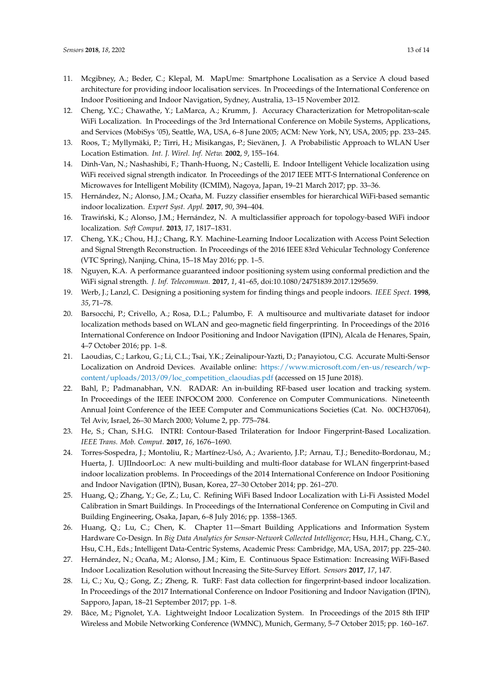- <span id="page-12-0"></span>11. Mcgibney, A.; Beder, C.; Klepal, M. MapUme: Smartphone Localisation as a Service A cloud based architecture for providing indoor localisation services. In Proceedings of the International Conference on Indoor Positioning and Indoor Navigation, Sydney, Australia, 13–15 November 2012.
- <span id="page-12-1"></span>12. Cheng, Y.C.; Chawathe, Y.; LaMarca, A.; Krumm, J. Accuracy Characterization for Metropolitan-scale WiFi Localization. In Proceedings of the 3rd International Conference on Mobile Systems, Applications, and Services (MobiSys '05), Seattle, WA, USA, 6–8 June 2005; ACM: New York, NY, USA, 2005; pp. 233–245.
- <span id="page-12-2"></span>13. Roos, T.; Myllymäki, P.; Tirri, H.; Misikangas, P.; Sievänen, J. A Probabilistic Approach to WLAN User Location Estimation. *Int. J. Wirel. Inf. Netw.* **2002**, *9*, 155–164.
- <span id="page-12-3"></span>14. Dinh-Van, N.; Nashashibi, F.; Thanh-Huong, N.; Castelli, E. Indoor Intelligent Vehicle localization using WiFi received signal strength indicator. In Proceedings of the 2017 IEEE MTT-S International Conference on Microwaves for Intelligent Mobility (ICMIM), Nagoya, Japan, 19–21 March 2017; pp. 33–36.
- <span id="page-12-4"></span>15. Hernández, N.; Alonso, J.M.; Ocaña, M. Fuzzy classifier ensembles for hierarchical WiFi-based semantic indoor localization. *Expert Syst. Appl.* **2017**, *90*, 394–404.
- <span id="page-12-5"></span>16. Trawiński, K.; Alonso, J.M.; Hernández, N. A multiclassifier approach for topology-based WiFi indoor localization. *Soft Comput.* **2013**, *17*, 1817–1831.
- <span id="page-12-6"></span>17. Cheng, Y.K.; Chou, H.J.; Chang, R.Y. Machine-Learning Indoor Localization with Access Point Selection and Signal Strength Reconstruction. In Proceedings of the 2016 IEEE 83rd Vehicular Technology Conference (VTC Spring), Nanjing, China, 15–18 May 2016; pp. 1–5.
- <span id="page-12-7"></span>18. Nguyen, K.A. A performance guaranteed indoor positioning system using conformal prediction and the WiFi signal strength. *J. Inf. Telecommun.* **2017**, *1*, 41–65, doi:10.1080/24751839.2017.1295659.
- <span id="page-12-8"></span>19. Werb, J.; Lanzl, C. Designing a positioning system for finding things and people indoors. *IEEE Spect.* **1998**, *35*, 71–78.
- <span id="page-12-9"></span>20. Barsocchi, P.; Crivello, A.; Rosa, D.L.; Palumbo, F. A multisource and multivariate dataset for indoor localization methods based on WLAN and geo-magnetic field fingerprinting. In Proceedings of the 2016 International Conference on Indoor Positioning and Indoor Navigation (IPIN), Alcala de Henares, Spain, 4–7 October 2016; pp. 1–8.
- <span id="page-12-10"></span>21. Laoudias, C.; Larkou, G.; Li, C.L.; Tsai, Y.K.; Zeinalipour-Yazti, D.; Panayiotou, C.G. Accurate Multi-Sensor Localization on Android Devices. Available online: [https://www.microsoft.com/en-us/research/wp](https://www.microsoft.com/en-us/research/wp-content/uploads/2013/09/loc_competition_claoudias.pdf)[content/uploads/2013/09/loc\\_competition\\_claoudias.pdf](https://www.microsoft.com/en-us/research/wp-content/uploads/2013/09/loc_competition_claoudias.pdf) (accessed on 15 June 2018).
- <span id="page-12-11"></span>22. Bahl, P.; Padmanabhan, V.N. RADAR: An in-building RF-based user location and tracking system. In Proceedings of the IEEE INFOCOM 2000. Conference on Computer Communications. Nineteenth Annual Joint Conference of the IEEE Computer and Communications Societies (Cat. No. 00CH37064), Tel Aviv, Israel, 26–30 March 2000; Volume 2, pp. 775–784.
- <span id="page-12-12"></span>23. He, S.; Chan, S.H.G. INTRI: Contour-Based Trilateration for Indoor Fingerprint-Based Localization. *IEEE Trans. Mob. Comput.* **2017**, *16*, 1676–1690.
- 24. Torres-Sospedra, J.; Montoliu, R.; Martínez-Usó, A.; Avariento, J.P.; Arnau, T.J.; Benedito-Bordonau, M.; Huerta, J. UJIIndoorLoc: A new multi-building and multi-floor database for WLAN fingerprint-based indoor localization problems. In Proceedings of the 2014 International Conference on Indoor Positioning and Indoor Navigation (IPIN), Busan, Korea, 27–30 October 2014; pp. 261–270.
- <span id="page-12-13"></span>25. Huang, Q.; Zhang, Y.; Ge, Z.; Lu, C. Refining WiFi Based Indoor Localization with Li-Fi Assisted Model Calibration in Smart Buildings. In Proceedings of the International Conference on Computing in Civil and Building Engineering, Osaka, Japan, 6–8 July 2016; pp. 1358–1365.
- 26. Huang, Q.; Lu, C.; Chen, K. Chapter 11—Smart Building Applications and Information System Hardware Co-Design. In *Big Data Analytics for Sensor-Network Collected Intelligence*; Hsu, H.H., Chang, C.Y., Hsu, C.H., Eds.; Intelligent Data-Centric Systems, Academic Press: Cambridge, MA, USA, 2017; pp. 225–240.
- <span id="page-12-14"></span>27. Hernández, N.; Ocaña, M.; Alonso, J.M.; Kim, E. Continuous Space Estimation: Increasing WiFi-Based Indoor Localization Resolution without Increasing the Site-Survey Effort. *Sensors* **2017**, *17*, 147.
- <span id="page-12-15"></span>28. Li, C.; Xu, Q.; Gong, Z.; Zheng, R. TuRF: Fast data collection for fingerprint-based indoor localization. In Proceedings of the 2017 International Conference on Indoor Positioning and Indoor Navigation (IPIN), Sapporo, Japan, 18–21 September 2017; pp. 1–8.
- <span id="page-12-16"></span>29. Bâce, M.; Pignolet, Y.A. Lightweight Indoor Localization System. In Proceedings of the 2015 8th IFIP Wireless and Mobile Networking Conference (WMNC), Munich, Germany, 5–7 October 2015; pp. 160–167.